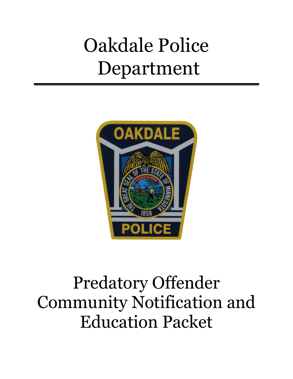# Oakdale Police Department



# Predatory Offender Community Notification and Education Packet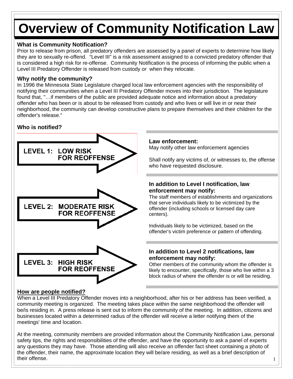## **Overview of Community Notification Law**

#### **What is Community Notification?**

Prior to release from prison, all predatory offenders are assessed by a panel of experts to determine how likely they are to sexually re-offend. "Level III" is a risk assessment assigned to a convicted predatory offender that is considered a high risk for re-offense. Community Notification is the process of informing the public when a Level III Predatory Offender is released from custody *or* when they relocate.

#### **Why notify the community?**

In 1996 the Minnesota State Legislature charged local law enforcement agencies with the responsibility of notifying their communities when a Level III Predatory Offender moves into their jurisdiction. The legislature found that, "…if members of the public are provided adequate notice and information about a predatory offender who has been or is about to be released from custody and who lives or will live in or near their neighborhood, the community can develop constructive plans to prepare themselves and their children for the offender's release."

#### **Who is notified?**



#### **Law enforcement:**

May notify other law enforcement agencies

Shall notify any victims of, or witnesses to, the offense who have requested disclosure.

#### **In addition to Level I notification, law enforcement may notify:**

The staff members of establishments and organizations that serve individuals likely to be victimized by the offender (including schools or licensed day care centers).

Individuals likely to be victimized, based on the offender's victim preference or pattern of offending.

#### **In addition to Level 2 notifications, law enforcement may notify:**

Other members of the community whom the offender is likely to encounter, specifically, those who live within a 3 block radius of where the offender is or will be residing.

#### **How are people notified?**

When a Level III Predatory Offender moves into a neighborhood, after his or her address has been verified, a community meeting is organized. The meeting takes place within the same neighborhood the offender will be/is residing in. A press release is sent out to inform the community of the meeting. In addition, citizens and businesses located within a determined radius of the offender will receive a letter notifying them of the meetings' time and location.

1 At the meeting, community members are provided information about the Community Notification Law, personal safety tips, the rights and responsibilities of the offender, and have the opportunity to ask a panel of experts any questions they may have. Those attending will also receive an offender fact sheet containing a photo of the offender, their name, the approximate location they will be/are residing, as well as a brief description of their offense.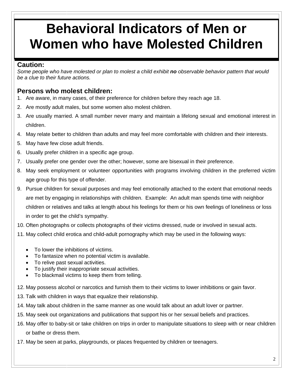## **Behavioral Indicators of Men or Women who have Molested Children**

#### **Caution:**

*Some people who have molested or plan to molest a child exhibit no observable behavior pattern that would be a clue to their future actions.* 

#### **Persons who molest children:**

- 1. Are aware, in many cases, of their preference for children before they reach age 18.
- 2. Are mostly adult males, but some women also molest children.
- 3. Are usually married. A small number never marry and maintain a lifelong sexual and emotional interest in children.
- 4. May relate better to children than adults and may feel more comfortable with children and their interests.
- 5. May have few close adult friends.
- 6. Usually prefer children in a specific age group.
- 7. Usually prefer one gender over the other; however, some are bisexual in their preference.
- 8. May seek employment or volunteer opportunities with programs involving children in the preferred victim age group for this type of offender.
- 9. Pursue children for sexual purposes and may feel emotionally attached to the extent that emotional needs are met by engaging in relationships with children. Example: An adult man spends time with neighbor children or relatives and talks at length about his feelings for them or his own feelings of loneliness or loss in order to get the child's sympathy.
- 10. Often photographs or collects photographs of their victims dressed, nude or involved in sexual acts.
- 11. May collect child erotica and child-adult pornography which may be used in the following ways:
	- To lower the inhibitions of victims.
	- To fantasize when no potential victim is available.
	- To relive past sexual activities.
	- To justify their inappropriate sexual activities.
	- To blackmail victims to keep them from telling.
- 12. May possess alcohol or narcotics and furnish them to their victims to lower inhibitions or gain favor.
- 13. Talk with children in ways that equalize their relationship.
- 14. May talk about children in the same manner as one would talk about an adult lover or partner.
- 15. May seek out organizations and publications that support his or her sexual beliefs and practices.
- 16. May offer to baby-sit or take children on trips in order to manipulate situations to sleep with or near children or bathe or dress them.
- 17. May be seen at parks, playgrounds, or places frequented by children or teenagers.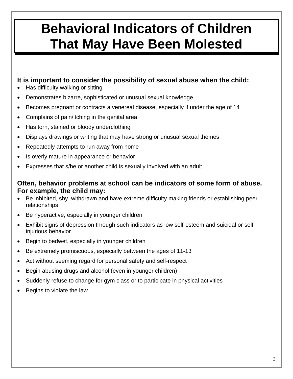## **Behavioral Indicators of Children That May Have Been Molested**

#### **It is important to consider the possibility of sexual abuse when the child:**

- Has difficulty walking or sitting
- Demonstrates bizarre, sophisticated or unusual sexual knowledge
- Becomes pregnant or contracts a venereal disease, especially if under the age of 14
- Complains of pain/itching in the genital area
- Has torn, stained or bloody underclothing
- Displays drawings or writing that may have strong or unusual sexual themes
- Repeatedly attempts to run away from home
- Is overly mature in appearance or behavior
- Expresses that s/he or another child is sexually involved with an adult

#### **Often, behavior problems at school can be indicators of some form of abuse. For example, the child may:**

- Be inhibited, shy, withdrawn and have extreme difficulty making friends or establishing peer relationships
- Be hyperactive, especially in younger children
- Exhibit signs of depression through such indicators as low self-esteem and suicidal or selfinjurious behavior
- Begin to bedwet, especially in younger children
- Be extremely promiscuous, especially between the ages of 11-13
- Act without seeming regard for personal safety and self-respect
- Begin abusing drugs and alcohol (even in younger children)
- Suddenly refuse to change for gym class or to participate in physical activities
- Begins to violate the law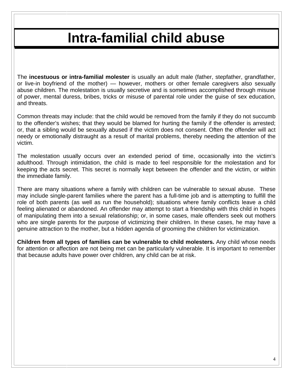### **lntra-familial child abuse**

The **incestuous or intra-familial molester** is usually an adult male (father, stepfather, grandfather, or live-in boyfriend of the mother) — however, mothers or other female caregivers also sexually abuse children. The molestation is usually secretive and is sometimes accomplished through misuse of power, mental duress, bribes, tricks or misuse of parental role under the guise of sex education, and threats.

Common threats may include: that the child would be removed from the family if they do not succumb to the offender's wishes; that they would be blamed for hurting the family if the offender is arrested; or, that a sibling would be sexually abused if the victim does not consent. Often the offender will act needy or emotionally distraught as a result of marital problems, thereby needing the attention of the victim.

The molestation usually occurs over an extended period of time, occasionally into the victim's adulthood. Through intimidation, the child is made to feel responsible for the molestation and for keeping the acts secret. This secret is normally kept between the offender and the victim, or within the immediate family.

There are many situations where a family with children can be vulnerable to sexual abuse. These may include single-parent families where the parent has a full-time job and is attempting to fulfill the role of both parents (as well as run the household); situations where family conflicts leave a child feeling alienated or abandoned. An offender may attempt to start a friendship with this child in hopes of manipulating them into a sexual relationship; or, in some cases, male offenders seek out mothers who are single parents for the purpose of victimizing their children. In these cases, he may have a genuine attraction to the mother, but a hidden agenda of grooming the children for victimization.

**Children from all types of families can be vulnerable to child molesters.** Any child whose needs for attention or affection are not being met can be particularly vulnerable. It is important to remember that because adults have power over children, any child can be at risk.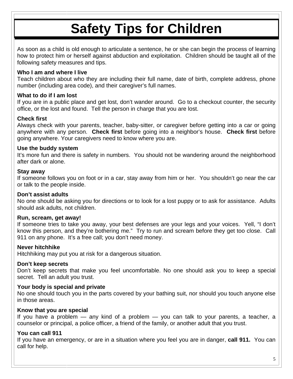## **Safety Tips for Children**

As soon as a child is old enough to articulate a sentence, he or she can begin the process of learning how to protect him or herself against abduction and exploitation. Children should be taught all of the following safety measures and tips.

#### **Who I am and where I live**

Teach children about who they are including their full name, date of birth, complete address, phone number (including area code), and their caregiver's full names.

#### **What to do if I am lost**

If you are in a public place and get lost, don't wander around. Go to a checkout counter, the security office, or the lost and found. Tell the person in charge that you are lost.

#### **Check first**

Always check with your parents, teacher, baby-sitter, or caregiver before getting into a car or going anywhere with any person. **Check first** before going into a neighbor's house. **Check first** before going anywhere. Your caregivers need to know where you are.

#### **Use the buddy system**

It's more fun and there is safety in numbers. You should not be wandering around the neighborhood after dark or alone.

#### **Stay away**

If someone follows you on foot or in a car, stay away from him or her. You shouldn't go near the car or talk to the people inside.

#### **Don't assist adults**

No one should be asking you for directions or to look for a lost puppy or to ask for assistance. Adults should ask adults, not children.

#### **Run, scream, get away!**

If someone tries to take you away, your best defenses are your legs and your voices. Yell, "I don't know this person, and they're bothering me." Try to run and scream before they get too close. Call 911 on any phone. It's a free call; you don't need money.

#### **Never hitchhike**

Hitchhiking may put you at risk for a dangerous situation.

#### **Don't keep secrets**

Don't keep secrets that make you feel uncomfortable. No one should ask you to keep a special secret. Tell an adult you trust.

#### **Your body is special and private**

No one should touch you in the parts covered by your bathing suit, nor should you touch anyone else in those areas.

#### **Know that you are special**

If you have a problem — any kind of a problem — you can talk to your parents, a teacher, a counselor or principal, a police officer, a friend of the family, or another adult that you trust.

#### **You can call 911**

If you have an emergency, or are in a situation where you feel you are in danger, **call 911.** You can call for help.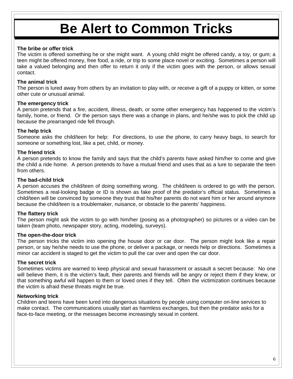## **Be Alert to Common Tricks**

#### **The bribe or offer trick**

The victim is offered something he or she might want. A young child might be offered candy, a toy, or gum; a teen might be offered money, free food, a ride, or trip to some place novel or exciting. Sometimes a person will take a valued belonging and then offer to return it only if the victim goes with the person, or allows sexual contact.

#### **The animal trick**

The person is lured away from others by an invitation to play with, or receive a gift of a puppy or kitten, or some other cute or unusual animal.

#### **The emergency trick**

A person pretends that a fire, accident, illness, death, or some other emergency has happened to the victim's family, home, or friend. Or the person says there was a change in plans, and he/she was to pick the child up because the prearranged ride fell through.

#### **The help trick**

Someone asks the child/teen for help: For directions, to use the phone, to carry heavy bags, to search for someone or something lost, like a pet, child, or money.

#### **The friend trick**

A person pretends to know the family and says that the child's parents have asked him/her to come and give the child a ride home. A person pretends to have a mutual friend and uses that as a lure to separate the teen from others.

#### **The bad-child trick**

A person accuses the child/teen of doing something wrong. The child/teen is ordered to go with the person. Sometimes a real-looking badge or ID is shown as fake proof of the predator's official status. Sometimes a child/teen will be convinced by someone they trust that his/her parents do not want him or her around anymore because the child/teen is a troublemaker, nuisance, or obstacle to the parents' happiness.

#### **The flattery trick**

The person might ask the victim to go with him/her (posing as a photographer) so pictures or a video can be taken (team photo, newspaper story, acting, modeling, surveys).

#### **The open-the-door trick**

The person tricks the victim into opening the house door or car door. The person might look like a repair person, or say he/she needs to use the phone, or deliver a package, or needs help or directions. Sometimes a minor car accident is staged to get the victim to pull the car over and open the car door.

#### **The secret trick**

Sometimes victims are warned to keep physical and sexual harassment or assault a secret because: No one will believe them, it is the victim's fault, their parents and friends will be angry or reject them if they knew, or that something awful will happen to them or loved ones if they tell. Often the victimization continues because the victim is afraid these threats might be true.

#### **Networking trick**

Children and teens have been lured into dangerous situations by people using computer on-line services to make contact. The communications usually start as harmless exchanges, but then the predator asks for a face-to-face meeting, or the messages become increasingly sexual in content.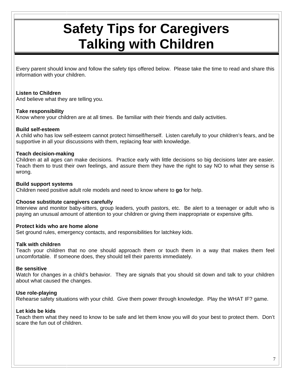## **Safety Tips for Caregivers Talking with Children**

Every parent should know and follow the safety tips offered below. Please take the time to read and share this information with your children.

#### **Listen to Children**

And believe what they are telling you.

#### **Take responsibility**

Know where your children are at all times. Be familiar with their friends and daily activities.

#### **Build self-esteem**

A child who has low self-esteem cannot protect himself/herself. Listen carefully to your children's fears, and be supportive in all your discussions with them, replacing fear with knowledge.

#### **Teach decision-making**

Children at all ages can make decisions. Practice early with little decisions so big decisions later are easier. Teach them to trust their own feelings, and assure them they have the right to say NO to what they sense is wrong.

#### **Build support systems**

Children need positive adult role models and need to know where to **go** for help.

#### **Choose substitute caregivers carefully**

Interview and monitor baby-sitters, group leaders, youth pastors, etc. Be alert to a teenager or adult who is paying an unusual amount of attention to your children or giving them inappropriate or expensive gifts.

#### **Protect kids who are home alone**

Set ground rules, emergency contacts, and responsibilities for latchkey kids.

#### **Talk with children**

Teach your children that no one should approach them or touch them in a way that makes them feel uncomfortable. If someone does, they should tell their parents immediately.

#### **Be sensitive**

Watch for changes in a child's behavior. They are signals that you should sit down and talk to your children about what caused the changes.

#### **Use role-playing**

Rehearse safety situations with your child. Give them power through knowledge. Play the WHAT IF? game.

#### **Let kids be kids**

Teach them what they need to know to be safe and let them know you will do your best to protect them. Don't scare the fun out of children.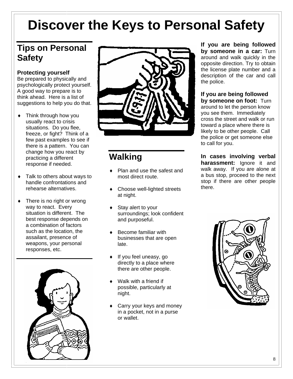## **Discover the Keys to Personal Safety**

### **Tips on Personal Safety**

#### **Protecting yourself**

Be prepared to physically and psychologically protect yourself. A good way to prepare is to think ahead. Here is a list of suggestions to help you do that.

- Think through how you usually react to crisis situations. Do you flee, freeze, or fight? Think of a few past examples to see if there is a pattern. You can change how you react by practicing a different response if needed.
- Talk to others about ways to handle confrontations and rehearse alternatives.
- There is no right or wrong way to react. Every situation is different. The best response depends on a combination of factors such as the location, the assailant, presence of weapons, your personal responses, etc.





### **Walking**

- Plan and use the safest and most direct route.
- Choose well-lighted streets at night.
- Stay alert to your surroundings; look confident and purposeful.
- ♦ Become familiar with businesses that are open late.
- ♦ If you feel uneasy, go directly to a place where there are other people.
- Walk with a friend if possible, particularly at night.
- Carry your keys and money in a pocket, not in a purse or wallet.

**If you are being followed by someone in a car:** Turn around and walk quickly in the opposite direction. Try to obtain the license plate number and a description of the car and call the police.

### **If you are being followed**

**by someone on foot:** Turn around to let the person know you see them. Immediately cross the street and walk or run toward a place where there is likely to be other people. Call the police or get someone else to call for you.

**In cases involving verbal harassment:** Ignore it and walk away. If you are alone at a bus stop, proceed to the next stop if there are other people there.

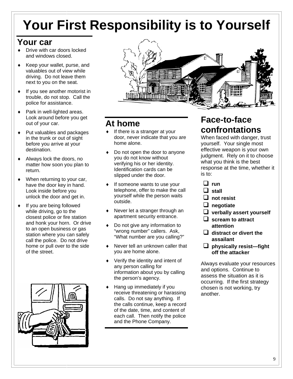## **Your First Responsibility is to Yourself**

### **Your car**

- ♦ Drive with car doors locked and windows closed.
- ♦ Keep your wallet, purse, and valuables out of view while driving. Do not leave them next to you on the seat.
- If you see another motorist in trouble, do not stop. Call the police for assistance.
- Park in well-lighted areas. Look around before you get out of your car.
- Put valuables and packages in the trunk or out of sight before you arrive at your destination.
- Always lock the doors, no matter how soon you plan to return.
- $\bullet$  When returning to your car, have the door key in hand. Look inside before you unlock the door and get in.
- If you are being followed while driving, go to the closest police or fire station and honk your horn. Or drive to an open business or gas station where you can safely call the police. Do not drive home or pull over to the side of the street.





### **At home**

- ♦ If there is a stranger at your door, never indicate that you are home alone.
- Do not open the door to anyone you do not know without verifying his or her identity. Identification cards can be slipped under the door.
- If someone wants to use your telephone, offer to make the call yourself while the person waits outside.
- ♦ Never let a stranger through an apartment security entrance.
- Do not give any information to "wrong number" callers. Ask, "What number are you calling?"
- ♦ Never tell an unknown caller that you are home alone.
- ♦ Verify the identity and intent of any person calling for information about you by calling the person's agency.
- Hang up immediately if you receive threatening or harassing calls. Do not say anything. If the calls continue, keep a record of the date, time, and content of each call. Then notify the police and the Phone Company.

### **Face-to-face confrontations**

When faced with danger, trust yourself. Your single most effective weapon is your own judgment. Rely on it to choose what you think is the best response at the time, whether it is to:

- **run**
- **stall**
- $\Box$  not resist
- **negotiate**
- **verbally assert yourself**
- **scream to attract attention**
- **distract or divert the assailant**
- **physically resist—fight off the attacker**

Always evaluate your resources and options. Continue to assess the situation as it is occurring. If the first strategy chosen is not working, try another.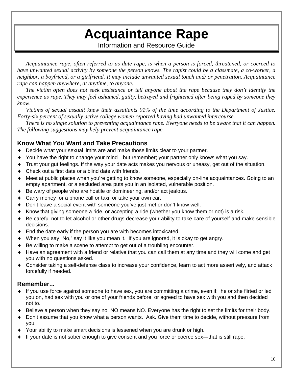## **Acquaintance Rape**

Information and Resource Guide

*Acquaintance rape, often referred to as date rape, is when a person is forced, threatened, or coerced to have unwanted sexual activity by someone the person knows. The rapist could be a classmate, a co-worker, a neighbor, a boyfriend, or a girlfriend. It may include unwanted sexual touch and/ or penetration. Acquaintance rape can happen anywhere, at anytime, to anyone.* 

*The victim often does not seek assistance or tell anyone about the rape because they don't identify the experience as rape. They may feel ashamed, guilty, betrayed and frightened after being raped by someone they know.* 

*Victims of sexual assault knew their assailants 91% of the time according to the Department of Justice. Forty-six percent of sexually active college women reported having had unwanted intercourse.* 

*There is no single solution to preventing acquaintance rape. Everyone needs to be aware that it can happen. The following suggestions may help prevent acquaintance rape.*

#### **Know What You Want and Take Precautions**

- Decide what your sexual limits are and make those limits clear to your partner.
- You have the right to change your mind—but remember; your partner only knows what you say.
- Trust your gut feelings. If the way your date acts makes you nervous or uneasy, get out of the situation.
- Check out a first date or a blind date with friends.
- Meet at public places when you're getting to know someone, especially on-line acquaintances. Going to an empty apartment, or a secluded area puts you in an isolated, vulnerable position.
- Be wary of people who are hostile or domineering, and/or act jealous.
- Carry money for a phone call or taxi, or take your own car.
- Don't leave a social event with someone you've just met or don't know well.
- Know that giving someone a ride, or accepting a ride (whether you know them or not) is a risk.
- Be careful not to let alcohol or other drugs decrease your ability to take care of yourself and make sensible decisions.
- End the date early if the person you are with becomes intoxicated.
- When you say "No," say it like you mean it. If you are ignored, it is okay to get angry.
- Be willing to make a scene to attempt to get out of a troubling encounter.
- Have an agreement with a friend or relative that you can call them at any time and they will come and get you with no questions asked.
- ♦ Consider taking a self-defense class to increase your confidence, learn to act more assertively, and attack forcefully if needed.

#### **Remember...**

- ♦ If you use force against someone to have sex, you are committing a crime, even if: he or she flirted or led you on, had sex with you or one of your friends before, or agreed to have sex with you and then decided not to.
- Believe a person when they say no. NO means NO. Everyone has the right to set the limits for their body.
- Don't assume that you know what a person wants. Ask. Give them time to decide, without pressure from you.
- ♦ Your ability to make smart decisions is lessened when you are drunk or high.
- If your date is not sober enough to give consent and you force or coerce sex—that is still rape.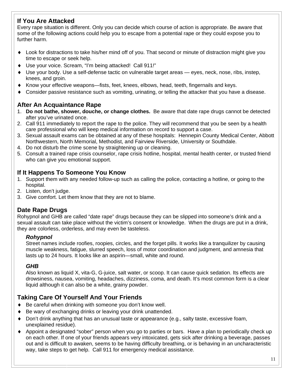#### **If You Are Attacked**

Every rape situation is different. Only you can decide which course of action is appropriate. Be aware that some of the following actions could help you to escape from a potential rape or they could expose you to further harm.

- ♦ Look for distractions to take his/her mind off of you. That second or minute of distraction might give you time to escape or seek help.
- ♦ Use your voice. Scream, "I'm being attacked! Call 911!"
- Use your body. Use a self-defense tactic on vulnerable target areas eyes, neck, nose, ribs, instep, knees, and groin.
- ♦ Know your effective weapons—fists, feet, knees, elbows, head, teeth, fingernails and keys.
- Consider passive resistance such as vomiting, urinating, or telling the attacker that you have a disease.

#### **After An Acquaintance Rape**

- 1. **Do not bathe, shower, douche, or change clothes.** Be aware that date rape drugs cannot be detected after you've urinated once.
- 2. Call 911 immediately to report the rape to the police. They will recommend that you be seen by a health care professional who will keep medical information on record to support a case.
- 3. Sexual assault exams can be obtained at any of these hospitals: Hennepin County Medical Center, Abbott Northwestern, North Memorial, Methodist, and Fairview Riverside, University or Southdale.
- 4. Do not disturb the crime scene by straightening up or cleaning.
- 5. Consult a trained rape crisis counselor, rape crisis hotline, hospital, mental health center, or trusted friend who can give you emotional support.

#### **If It Happens To Someone You Know**

- 1. Support them with any needed follow-up such as calling the police, contacting a hotline, or going to the hospital.
- 2. Listen, don't judge.
- 3. Give comfort. Let them know that they are not to blame.

#### **Date Rape Drugs**

Rohypnol and GHB are called "date rape" drugs because they can be slipped into someone's drink and a sexual assault can take place without the victim's consent or knowledge. When the drugs are put in a drink, they are colorless, orderless, and may even be tasteless.

#### *Rohypnol*

Street names include roofies, roopies, circles, and the forget pills. It works like a tranquilizer by causing muscle weakness, fatigue, slurred speech, loss of motor coordination and judgment, and amnesia that lasts up to 24 hours. It looks like an aspirin—small, white and round.

#### *GHB*

Also known as liquid X, vita-G, G-juice, salt water, or scoop. It can cause quick sedation. Its effects are drowsiness, nausea, vomiting, headaches, dizziness, coma, and death. It's most common form is a clear liquid although it can also be a white, grainy powder.

#### **Taking Care Of Yourself And Your Friends**

- Be careful when drinking with someone you don't know well.
- Be wary of exchanging drinks or leaving your drink unattended.
- Don't drink anything that has an unusual taste or appearance (e.g., salty taste, excessive foam, unexplained residue).
- ♦ Appoint a designated "sober" person when you go to parties or bars. Have a plan to periodically check up on each other. If one of your friends appears very intoxicated, gets sick after drinking a beverage, passes out and is difficult to awaken, seems to be having difficulty breathing, or is behaving in an uncharacteristic way, take steps to get help. Call 911 for emergency medical assistance.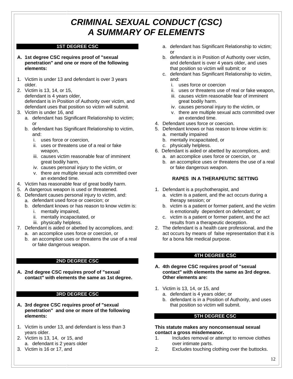### *CRIMINAL SEXUAL CONDUCT (CSC) A SUMMARY OF ELEMENTS*

#### **1ST DEGREE CSC**

- **A. 1st degree CSC requires proof of "sexual penetration" and one or more of the following elements:**
- 1. Victim is under 13 and defendant is over 3 years older.
- 2. Victim is 13, 14, or 15, defendant is 4 years older, defendant is in Position of Authority over victim, and defendant uses that position so victim will submit.
- 3. Victim is under 16, and
	- a. defendant has Significant Relationship to victim; or
	- b. defendant has Significant Relationship to victim, and:
		- i. uses force or coercion,
		- ii. uses or threatens use of a real or fake weapon,
		- iii. causes victim reasonable fear of imminent great bodily harm,
		- iv. causes personal injury to the victim, or
		- v. there are multiple sexual acts committed over an extended time.
- 4. Victim has reasonable fear of great bodily harm.
- 5. A dangerous weapon is used or threatened.
- 6. Defendant causes personal injury to victim, and:
	- a. defendant used force or coercion; or
	- b. defendant knows or has reason to know victim is:
		- i. mentally impaired,
		- ii. mentally incapacitated, or
		- iii. physically helpless.
- 7. Defendant is aided or abetted by accomplices, and: a. an accomplice uses force or coercion, or
	- b. an accomplice uses or threatens the use of a real or fake dangerous weapon.

#### **2ND DEGREE CSC**

**A. 2nd degree CSC requires proof of "sexual contact" with elements the same as 1st degree.**

#### **3RD DEGREE CSC**

- **A. 3rd degree CSC requires proof of "sexual penetration" and one or more of the following elements:**
- 1. Victim is under 13, and defendant is less than 3 years older.
- 2. Victim is 13, 14, or 15, and a. defendant is 2 years older
- 3. Victim is 16 or 17, and
- a. defendant has Significant Relationship to victim; or
- b. defendant is in Position of Authority over victim, and defendant is over 4 years older, and uses that position so victim will submit; or
- c. defendant has Significant Relationship to victim, and:
	- i. uses force or coercion
	- ii. uses or threatens use of real or fake weapon,
	- iii. causes victim reasonable fear of imminent great bodily harm.
	- iv. causes personal injury to the victim, or
	- v. there are multiple sexual acts committed over an extended time.
- 4. Defendant uses force or coercion.
- 5. Defendant knows or has reason to know victim is:
	- a. mentally impaired
	- b. mentally incapacitated, or
	- c. physically helpless.
- 6. Defendant is aided or abetted by accomplices, and:
	- a. an accomplice uses force or coercion, or
	- b. an accomplice uses or threatens the use of a real or fake dangerous weapon.

#### **RAPES IN A THERAPEUTIC SETTING**

- 1. Defendant is a psychotherapist, and
	- a. victim is a patient, and the act occurs during a therapy session; or
	- b. victim is a patient or former patient, and the victim is emotionally dependent on defendant; or
	- c. victim is a patient or former patient, and the act results from a therapeutic deception.
- 2. The defendant is a health care professional, and the act occurs by means of false representation that it is for a bona fide medical purpose.

#### **4TH DEGREE CSC**

- **A. 4th degree CSC requires proof of "sexual contact" with elements the same as 3rd degree. Other elements are:**
- 1. Victim is 13, 14, or 15, and
	- a. defendant is 4 years older; or
	- b. defendant is in a Position of Authority, and uses that position so victim will submit.

#### **5TH DEGREE CSC**

#### **This statute makes any nonconsensual sexual contact a gross misdemeanor.**

- 1. Includes removal or attempt to remove clothes over intimate parts.
- 2. Excludes touching clothing over the buttocks.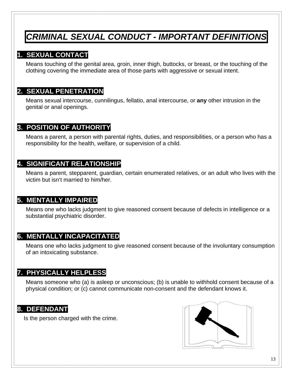### *CRIMINAL SEXUAL CONDUCT - IMPORTANT DEFINITIONS*

### **1. SEXUAL CONTACT**

Means touching of the genital area, groin, inner thigh, buttocks, or breast, or the touching of the clothing covering the immediate area of those parts with aggressive or sexual intent.

#### **2. SEXUAL PENETRATION**

Means sexual intercourse, cunnilingus, fellatio, anal intercourse, or **any** other intrusion in the genital or anal openings.

#### **3. POSITION OF AUTHORITY**

Means a parent, a person with parental rights, duties, and responsibilities, or a person who has a responsibility for the health, welfare, or supervision of a child.

#### **4. SIGNIFICANT RELATIONSHIP**

Means a parent, stepparent, guardian, certain enumerated relatives, or an adult who lives with the victim but isn't married to him/her.

#### **5. MENTALLY IMPAIRED**

Means one who lacks judgment to give reasoned consent because of defects in intelligence or a substantial psychiatric disorder.

#### **6. MENTALLY INCAPACITATED**

Means one who lacks judgment to give reasoned consent because of the involuntary consumption of an intoxicating substance.

#### **7. PHYSICALLY HELPLESS**

Means someone who (a) is asleep or unconscious; (b) is unable to withhold consent because of a physical condition; or (c) cannot communicate non-consent and the defendant knows it.

#### **8. DEFENDANT**

Is the person charged with the crime.